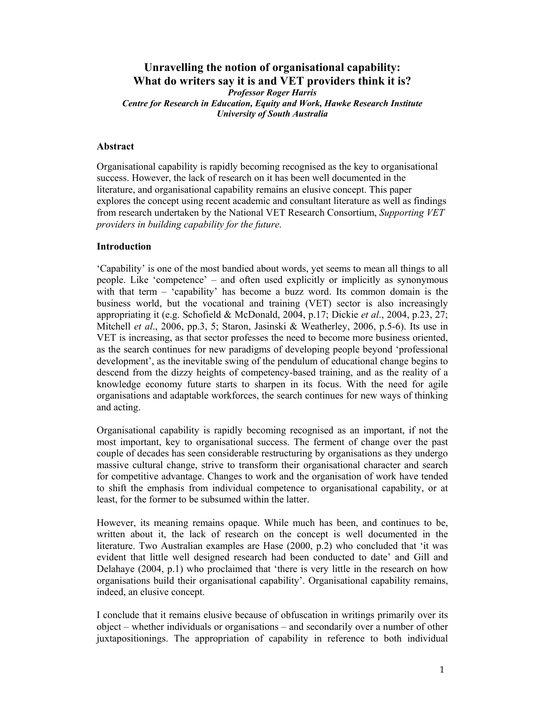# **Unravelling the notion of organisational capability: What do writers say it is and VET providers think it is?**

*Professor Roger Harris Centre for Research in Education, Equity and Work, Hawke Research Institute University of South Australia* 

## **Abstract**

Organisational capability is rapidly becoming recognised as the key to organisational success. However, the lack of research on it has been well documented in the literature, and organisational capability remains an elusive concept. This paper explores the concept using recent academic and consultant literature as well as findings from research undertaken by the National VET Research Consortium, *Supporting VET providers in building capability for the future*.

### **Introduction**

'Capability' is one of the most bandied about words, yet seems to mean all things to all people. Like 'competence' – and often used explicitly or implicitly as synonymous with that term – 'capability' has become a buzz word. Its common domain is the business world, but the vocational and training (VET) sector is also increasingly appropriating it (e.g. Schofield & McDonald, 2004, p.17; Dickie *et al*., 2004, p.23, 27; Mitchell *et al*., 2006, pp.3, 5; Staron, Jasinski & Weatherley, 2006, p.5-6). Its use in VET is increasing, as that sector professes the need to become more business oriented, as the search continues for new paradigms of developing people beyond 'professional development', as the inevitable swing of the pendulum of educational change begins to descend from the dizzy heights of competency-based training, and as the reality of a knowledge economy future starts to sharpen in its focus. With the need for agile organisations and adaptable workforces, the search continues for new ways of thinking and acting.

Organisational capability is rapidly becoming recognised as an important, if not the most important, key to organisational success. The ferment of change over the past couple of decades has seen considerable restructuring by organisations as they undergo massive cultural change, strive to transform their organisational character and search for competitive advantage. Changes to work and the organisation of work have tended to shift the emphasis from individual competence to organisational capability, or at least, for the former to be subsumed within the latter.

However, its meaning remains opaque. While much has been, and continues to be, written about it, the lack of research on the concept is well documented in the literature. Two Australian examples are Hase (2000, p.2) who concluded that 'it was evident that little well designed research had been conducted to date' and Gill and Delahaye (2004, p.1) who proclaimed that 'there is very little in the research on how organisations build their organisational capability'. Organisational capability remains, indeed, an elusive concept.

I conclude that it remains elusive because of obfuscation in writings primarily over its object – whether individuals or organisations – and secondarily over a number of other juxtapositionings. The appropriation of capability in reference to both individual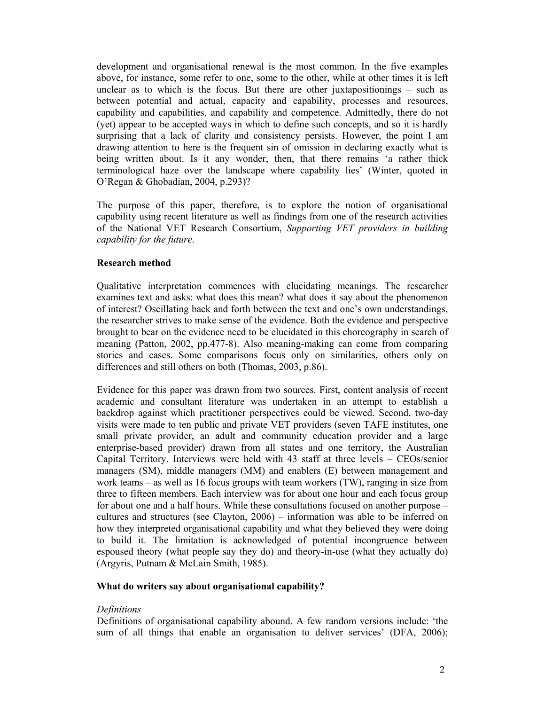development and organisational renewal is the most common. In the five examples above, for instance, some refer to one, some to the other, while at other times it is left unclear as to which is the focus. But there are other juxtapositionings – such as between potential and actual, capacity and capability, processes and resources, capability and capabilities, and capability and competence. Admittedly, there do not (yet) appear to be accepted ways in which to define such concepts, and so it is hardly surprising that a lack of clarity and consistency persists. However, the point I am drawing attention to here is the frequent sin of omission in declaring exactly what is being written about. Is it any wonder, then, that there remains 'a rather thick terminological haze over the landscape where capability lies' (Winter, quoted in O'Regan & Ghobadian, 2004, p.293)?

The purpose of this paper, therefore, is to explore the notion of organisational capability using recent literature as well as findings from one of the research activities of the National VET Research Consortium, *Supporting VET providers in building capability for the future*.

### **Research method**

Qualitative interpretation commences with elucidating meanings. The researcher examines text and asks: what does this mean? what does it say about the phenomenon of interest? Oscillating back and forth between the text and one's own understandings, the researcher strives to make sense of the evidence. Both the evidence and perspective brought to bear on the evidence need to be elucidated in this choreography in search of meaning (Patton, 2002, pp.477-8). Also meaning-making can come from comparing stories and cases. Some comparisons focus only on similarities, others only on differences and still others on both (Thomas, 2003, p.86).

Evidence for this paper was drawn from two sources. First, content analysis of recent academic and consultant literature was undertaken in an attempt to establish a backdrop against which practitioner perspectives could be viewed. Second, two-day visits were made to ten public and private VET providers (seven TAFE institutes, one small private provider, an adult and community education provider and a large enterprise-based provider) drawn from all states and one territory, the Australian Capital Territory. Interviews were held with 43 staff at three levels – CEOs/senior managers (SM), middle managers (MM) and enablers (E) between management and work teams – as well as 16 focus groups with team workers (TW), ranging in size from three to fifteen members. Each interview was for about one hour and each focus group for about one and a half hours. While these consultations focused on another purpose – cultures and structures (see Clayton, 2006) – information was able to be inferred on how they interpreted organisational capability and what they believed they were doing to build it. The limitation is acknowledged of potential incongruence between espoused theory (what people say they do) and theory-in-use (what they actually do) (Argyris, Putnam & McLain Smith, 1985).

#### **What do writers say about organisational capability?**

#### *Definitions*

Definitions of organisational capability abound. A few random versions include: 'the sum of all things that enable an organisation to deliver services' (DFA, 2006);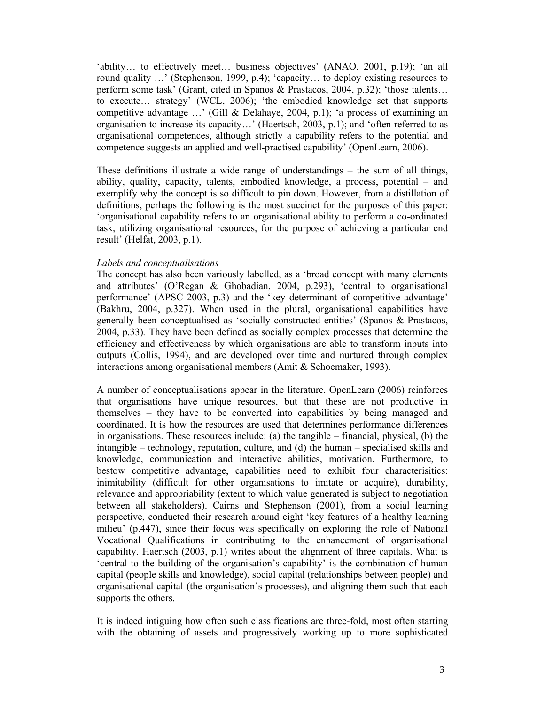'ability… to effectively meet… business objectives' (ANAO, 2001, p.19); 'an all round quality …' (Stephenson, 1999, p.4); 'capacity… to deploy existing resources to perform some task' (Grant, cited in Spanos & Prastacos, 2004, p.32); 'those talents… to execute… strategy' (WCL, 2006); 'the embodied knowledge set that supports competitive advantage …' (Gill & Delahaye, 2004, p.1); 'a process of examining an organisation to increase its capacity…' (Haertsch, 2003, p.1); and 'often referred to as organisational competences, although strictly a capability refers to the potential and competence suggests an applied and well-practised capability' (OpenLearn, 2006).

These definitions illustrate a wide range of understandings – the sum of all things, ability, quality, capacity, talents, embodied knowledge, a process, potential – and exemplify why the concept is so difficult to pin down. However, from a distillation of definitions, perhaps the following is the most succinct for the purposes of this paper: 'organisational capability refers to an organisational ability to perform a co-ordinated task, utilizing organisational resources, for the purpose of achieving a particular end result' (Helfat, 2003, p.1).

# *Labels and conceptualisations*

The concept has also been variously labelled, as a 'broad concept with many elements and attributes' (O'Regan & Ghobadian, 2004, p.293), 'central to organisational performance' (APSC 2003, p.3) and the 'key determinant of competitive advantage' (Bakhru, 2004, p.327). When used in the plural, organisational capabilities have generally been conceptualised as 'socially constructed entities' (Spanos & Prastacos, 2004, p.33)*.* They have been defined as socially complex processes that determine the efficiency and effectiveness by which organisations are able to transform inputs into outputs (Collis, 1994), and are developed over time and nurtured through complex interactions among organisational members (Amit & Schoemaker, 1993).

A number of conceptualisations appear in the literature. OpenLearn (2006) reinforces that organisations have unique resources, but that these are not productive in themselves – they have to be converted into capabilities by being managed and coordinated. It is how the resources are used that determines performance differences in organisations. These resources include: (a) the tangible – financial, physical, (b) the intangible – technology, reputation, culture, and (d) the human – specialised skills and knowledge, communication and interactive abilities, motivation. Furthermore, to bestow competitive advantage, capabilities need to exhibit four characterisitics: inimitability (difficult for other organisations to imitate or acquire), durability, relevance and appropriability (extent to which value generated is subject to negotiation between all stakeholders). Cairns and Stephenson (2001), from a social learning perspective, conducted their research around eight 'key features of a healthy learning milieu' (p.447), since their focus was specifically on exploring the role of National Vocational Qualifications in contributing to the enhancement of organisational capability. Haertsch (2003, p.1) writes about the alignment of three capitals. What is 'central to the building of the organisation's capability' is the combination of human capital (people skills and knowledge), social capital (relationships between people) and organisational capital (the organisation's processes), and aligning them such that each supports the others.

It is indeed intiguing how often such classifications are three-fold, most often starting with the obtaining of assets and progressively working up to more sophisticated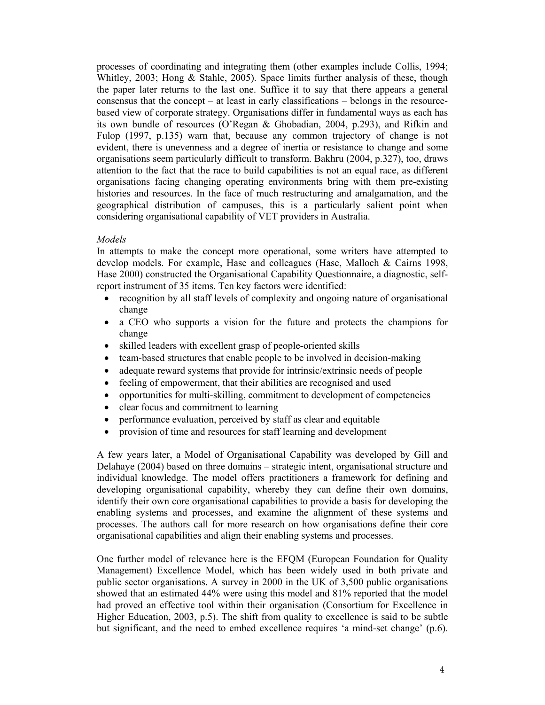processes of coordinating and integrating them (other examples include Collis, 1994; Whitley, 2003; Hong & Stahle, 2005). Space limits further analysis of these, though the paper later returns to the last one. Suffice it to say that there appears a general consensus that the concept – at least in early classifications – belongs in the resourcebased view of corporate strategy. Organisations differ in fundamental ways as each has its own bundle of resources (O'Regan & Ghobadian, 2004, p.293), and Rifkin and Fulop (1997, p.135) warn that, because any common trajectory of change is not evident, there is unevenness and a degree of inertia or resistance to change and some organisations seem particularly difficult to transform. Bakhru (2004, p.327), too, draws attention to the fact that the race to build capabilities is not an equal race, as different organisations facing changing operating environments bring with them pre-existing histories and resources. In the face of much restructuring and amalgamation, and the geographical distribution of campuses, this is a particularly salient point when considering organisational capability of VET providers in Australia.

# *Models*

In attempts to make the concept more operational, some writers have attempted to develop models. For example, Hase and colleagues (Hase, Malloch & Cairns 1998, Hase 2000) constructed the Organisational Capability Questionnaire, a diagnostic, selfreport instrument of 35 items. Ten key factors were identified:

- recognition by all staff levels of complexity and ongoing nature of organisational change
- a CEO who supports a vision for the future and protects the champions for change
- skilled leaders with excellent grasp of people-oriented skills
- team-based structures that enable people to be involved in decision-making
- adequate reward systems that provide for intrinsic/extrinsic needs of people
- feeling of empowerment, that their abilities are recognised and used
- opportunities for multi-skilling, commitment to development of competencies
- clear focus and commitment to learning
- performance evaluation, perceived by staff as clear and equitable
- provision of time and resources for staff learning and development

A few years later, a Model of Organisational Capability was developed by Gill and Delahaye (2004) based on three domains – strategic intent, organisational structure and individual knowledge. The model offers practitioners a framework for defining and developing organisational capability, whereby they can define their own domains, identify their own core organisational capabilities to provide a basis for developing the enabling systems and processes, and examine the alignment of these systems and processes. The authors call for more research on how organisations define their core organisational capabilities and align their enabling systems and processes.

One further model of relevance here is the EFQM (European Foundation for Quality Management) Excellence Model, which has been widely used in both private and public sector organisations. A survey in 2000 in the UK of 3,500 public organisations showed that an estimated 44% were using this model and 81% reported that the model had proved an effective tool within their organisation (Consortium for Excellence in Higher Education, 2003, p.5). The shift from quality to excellence is said to be subtle but significant, and the need to embed excellence requires 'a mind-set change' (p.6).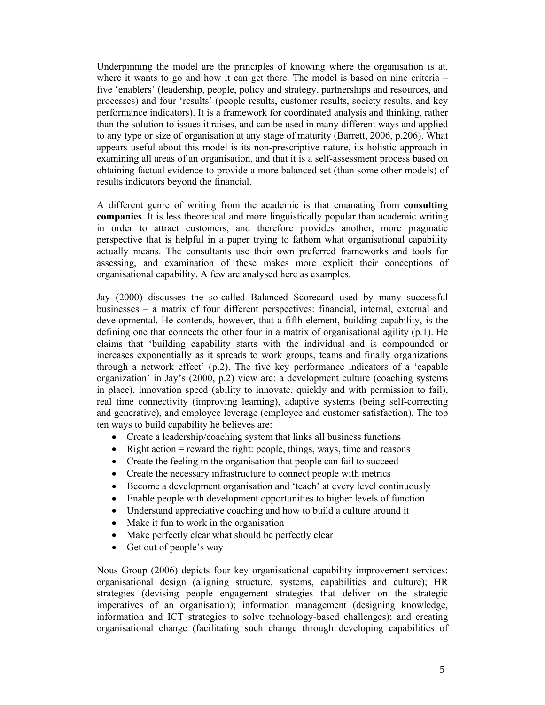Underpinning the model are the principles of knowing where the organisation is at, where it wants to go and how it can get there. The model is based on nine criteria – five 'enablers' (leadership, people, policy and strategy, partnerships and resources, and processes) and four 'results' (people results, customer results, society results, and key performance indicators). It is a framework for coordinated analysis and thinking, rather than the solution to issues it raises, and can be used in many different ways and applied to any type or size of organisation at any stage of maturity (Barrett, 2006, p.206). What appears useful about this model is its non-prescriptive nature, its holistic approach in examining all areas of an organisation, and that it is a self-assessment process based on obtaining factual evidence to provide a more balanced set (than some other models) of results indicators beyond the financial.

A different genre of writing from the academic is that emanating from **consulting companies**. It is less theoretical and more linguistically popular than academic writing in order to attract customers, and therefore provides another, more pragmatic perspective that is helpful in a paper trying to fathom what organisational capability actually means. The consultants use their own preferred frameworks and tools for assessing, and examination of these makes more explicit their conceptions of organisational capability. A few are analysed here as examples.

Jay (2000) discusses the so-called Balanced Scorecard used by many successful businesses – a matrix of four different perspectives: financial, internal, external and developmental. He contends, however, that a fifth element, building capability, is the defining one that connects the other four in a matrix of organisational agility (p.1). He claims that 'building capability starts with the individual and is compounded or increases exponentially as it spreads to work groups, teams and finally organizations through a network effect' (p.2). The five key performance indicators of a 'capable organization' in Jay's (2000, p.2) view are: a development culture (coaching systems in place), innovation speed (ability to innovate, quickly and with permission to fail), real time connectivity (improving learning), adaptive systems (being self-correcting and generative), and employee leverage (employee and customer satisfaction). The top ten ways to build capability he believes are:

- Create a leadership/coaching system that links all business functions
- Right action = reward the right: people, things, ways, time and reasons
- Create the feeling in the organisation that people can fail to succeed
- Create the necessary infrastructure to connect people with metrics
- Become a development organisation and 'teach' at every level continuously
- Enable people with development opportunities to higher levels of function
- Understand appreciative coaching and how to build a culture around it
- Make it fun to work in the organisation
- Make perfectly clear what should be perfectly clear
- Get out of people's way

Nous Group (2006) depicts four key organisational capability improvement services: organisational design (aligning structure, systems, capabilities and culture); HR strategies (devising people engagement strategies that deliver on the strategic imperatives of an organisation); information management (designing knowledge, information and ICT strategies to solve technology-based challenges); and creating organisational change (facilitating such change through developing capabilities of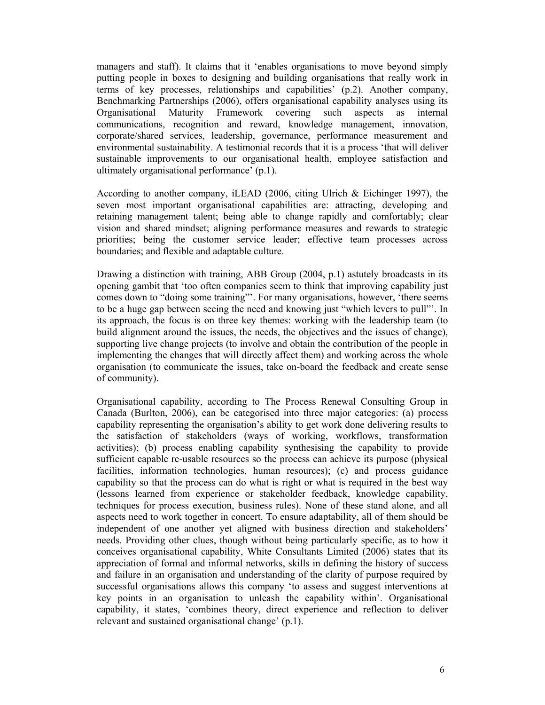managers and staff). It claims that it 'enables organisations to move beyond simply putting people in boxes to designing and building organisations that really work in terms of key processes, relationships and capabilities' (p.2). Another company, Benchmarking Partnerships (2006), offers organisational capability analyses using its Organisational Maturity Framework covering such aspects as internal communications, recognition and reward, knowledge management, innovation, corporate/shared services, leadership, governance, performance measurement and environmental sustainability. A testimonial records that it is a process 'that will deliver sustainable improvements to our organisational health, employee satisfaction and ultimately organisational performance' (p.1).

According to another company, iLEAD (2006, citing Ulrich & Eichinger 1997), the seven most important organisational capabilities are: attracting, developing and retaining management talent; being able to change rapidly and comfortably; clear vision and shared mindset; aligning performance measures and rewards to strategic priorities; being the customer service leader; effective team processes across boundaries; and flexible and adaptable culture.

Drawing a distinction with training, ABB Group (2004, p.1) astutely broadcasts in its opening gambit that 'too often companies seem to think that improving capability just comes down to "doing some training"'. For many organisations, however, 'there seems to be a huge gap between seeing the need and knowing just "which levers to pull"'. In its approach, the focus is on three key themes: working with the leadership team (to build alignment around the issues, the needs, the objectives and the issues of change), supporting live change projects (to involve and obtain the contribution of the people in implementing the changes that will directly affect them) and working across the whole organisation (to communicate the issues, take on-board the feedback and create sense of community).

Organisational capability, according to The Process Renewal Consulting Group in Canada (Burlton, 2006), can be categorised into three major categories: (a) process capability representing the organisation's ability to get work done delivering results to the satisfaction of stakeholders (ways of working, workflows, transformation activities); (b) process enabling capability synthesising the capability to provide sufficient capable re-usable resources so the process can achieve its purpose (physical facilities, information technologies, human resources); (c) and process guidance capability so that the process can do what is right or what is required in the best way (lessons learned from experience or stakeholder feedback, knowledge capability, techniques for process execution, business rules). None of these stand alone, and all aspects need to work together in concert. To ensure adaptability, all of them should be independent of one another yet aligned with business direction and stakeholders' needs. Providing other clues, though without being particularly specific, as to how it conceives organisational capability, White Consultants Limited (2006) states that its appreciation of formal and informal networks, skills in defining the history of success and failure in an organisation and understanding of the clarity of purpose required by successful organisations allows this company 'to assess and suggest interventions at key points in an organisation to unleash the capability within'. Organisational capability, it states, 'combines theory, direct experience and reflection to deliver relevant and sustained organisational change' (p.1).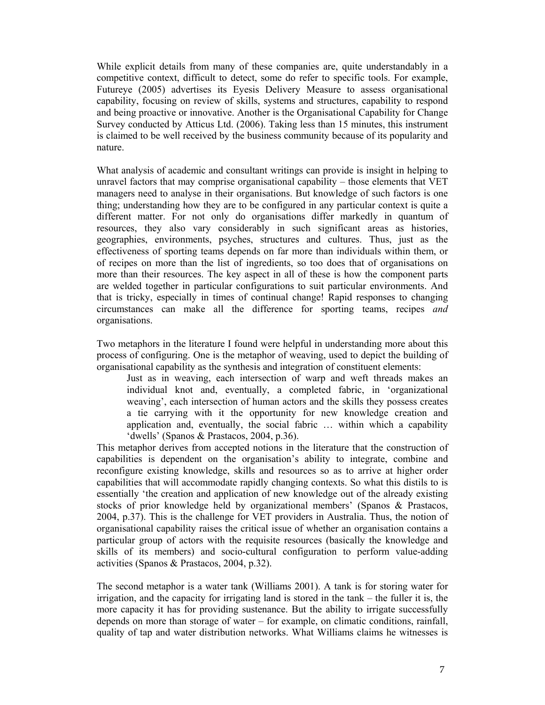While explicit details from many of these companies are, quite understandably in a competitive context, difficult to detect, some do refer to specific tools. For example, Futureye (2005) advertises its Eyesis Delivery Measure to assess organisational capability, focusing on review of skills, systems and structures, capability to respond and being proactive or innovative. Another is the Organisational Capability for Change Survey conducted by Atticus Ltd. (2006). Taking less than 15 minutes, this instrument is claimed to be well received by the business community because of its popularity and nature.

What analysis of academic and consultant writings can provide is insight in helping to unravel factors that may comprise organisational capability – those elements that VET managers need to analyse in their organisations. But knowledge of such factors is one thing; understanding how they are to be configured in any particular context is quite a different matter. For not only do organisations differ markedly in quantum of resources, they also vary considerably in such significant areas as histories, geographies, environments, psyches, structures and cultures. Thus, just as the effectiveness of sporting teams depends on far more than individuals within them, or of recipes on more than the list of ingredients, so too does that of organisations on more than their resources. The key aspect in all of these is how the component parts are welded together in particular configurations to suit particular environments. And that is tricky, especially in times of continual change! Rapid responses to changing circumstances can make all the difference for sporting teams, recipes *and* organisations.

Two metaphors in the literature I found were helpful in understanding more about this process of configuring. One is the metaphor of weaving, used to depict the building of organisational capability as the synthesis and integration of constituent elements:

Just as in weaving, each intersection of warp and weft threads makes an individual knot and, eventually, a completed fabric, in 'organizational weaving', each intersection of human actors and the skills they possess creates a tie carrying with it the opportunity for new knowledge creation and application and, eventually, the social fabric … within which a capability 'dwells' (Spanos & Prastacos, 2004, p.36).

This metaphor derives from accepted notions in the literature that the construction of capabilities is dependent on the organisation's ability to integrate, combine and reconfigure existing knowledge, skills and resources so as to arrive at higher order capabilities that will accommodate rapidly changing contexts. So what this distils to is essentially 'the creation and application of new knowledge out of the already existing stocks of prior knowledge held by organizational members' (Spanos & Prastacos, 2004, p.37). This is the challenge for VET providers in Australia. Thus, the notion of organisational capability raises the critical issue of whether an organisation contains a particular group of actors with the requisite resources (basically the knowledge and skills of its members) and socio-cultural configuration to perform value-adding activities (Spanos & Prastacos, 2004, p.32).

The second metaphor is a water tank (Williams 2001). A tank is for storing water for irrigation, and the capacity for irrigating land is stored in the tank – the fuller it is, the more capacity it has for providing sustenance. But the ability to irrigate successfully depends on more than storage of water – for example, on climatic conditions, rainfall, quality of tap and water distribution networks. What Williams claims he witnesses is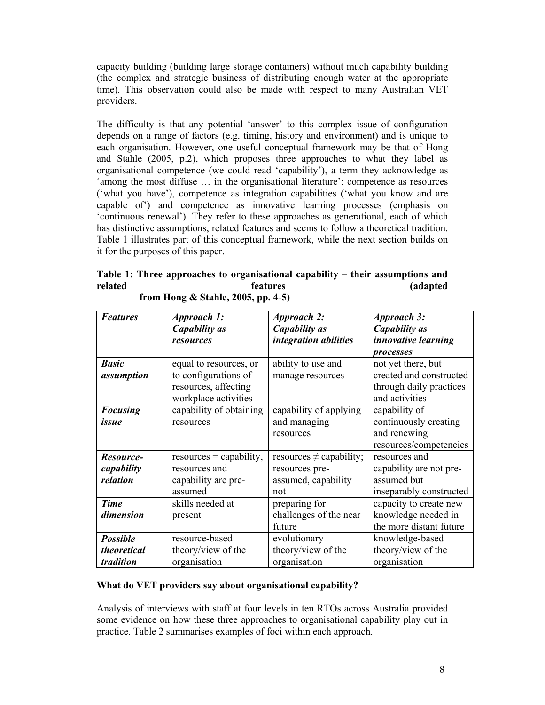capacity building (building large storage containers) without much capability building (the complex and strategic business of distributing enough water at the appropriate time). This observation could also be made with respect to many Australian VET providers.

The difficulty is that any potential 'answer' to this complex issue of configuration depends on a range of factors (e.g. timing, history and environment) and is unique to each organisation. However, one useful conceptual framework may be that of Hong and Stahle (2005, p.2), which proposes three approaches to what they label as organisational competence (we could read 'capability'), a term they acknowledge as 'among the most diffuse … in the organisational literature': competence as resources ('what you have'), competence as integration capabilities ('what you know and are capable of') and competence as innovative learning processes (emphasis on 'continuous renewal'). They refer to these approaches as generational, each of which has distinctive assumptions, related features and seems to follow a theoretical tradition. Table 1 illustrates part of this conceptual framework, while the next section builds on it for the purposes of this paper.

**Table 1: Three approaches to organisational capability – their assumptions and related features (adapted from Hong & Stahle, 2005, pp. 4-5)** 

| <b>Features</b> | Approach 1:               | <b>Approach 2:</b>           | <b>Approach 3:</b>         |
|-----------------|---------------------------|------------------------------|----------------------------|
|                 | <b>Capability</b> as      | Capability as                | <b>Capability</b> as       |
|                 | resources                 | integration abilities        | <i>innovative learning</i> |
|                 |                           |                              | <b>processes</b>           |
| <b>Basic</b>    | equal to resources, or    | ability to use and           | not yet there, but         |
| assumption      | to configurations of      | manage resources             | created and constructed    |
|                 | resources, affecting      |                              | through daily practices    |
|                 | workplace activities      |                              | and activities             |
| <b>Focusing</b> | capability of obtaining   | capability of applying       | capability of              |
| issue           | resources                 | and managing                 | continuously creating      |
|                 |                           | resources                    | and renewing               |
|                 |                           |                              | resources/competencies     |
| Resource-       | $resources = capability,$ | resources $\neq$ capability; | resources and              |
| capability      | resources and             | resources pre-               | capability are not pre-    |
| relation        | capability are pre-       | assumed, capability          | assumed but                |
|                 | assumed                   | not                          | inseparably constructed    |
| <b>Time</b>     | skills needed at          | preparing for                | capacity to create new     |
| dimension       | present                   | challenges of the near       | knowledge needed in        |
|                 |                           | future                       | the more distant future    |
| <b>Possible</b> | resource-based            | evolutionary                 | knowledge-based            |
| theoretical     | theory/view of the        | theory/view of the           | theory/view of the         |
| tradition       | organisation              | organisation                 | organisation               |

# **What do VET providers say about organisational capability?**

Analysis of interviews with staff at four levels in ten RTOs across Australia provided some evidence on how these three approaches to organisational capability play out in practice. Table 2 summarises examples of foci within each approach.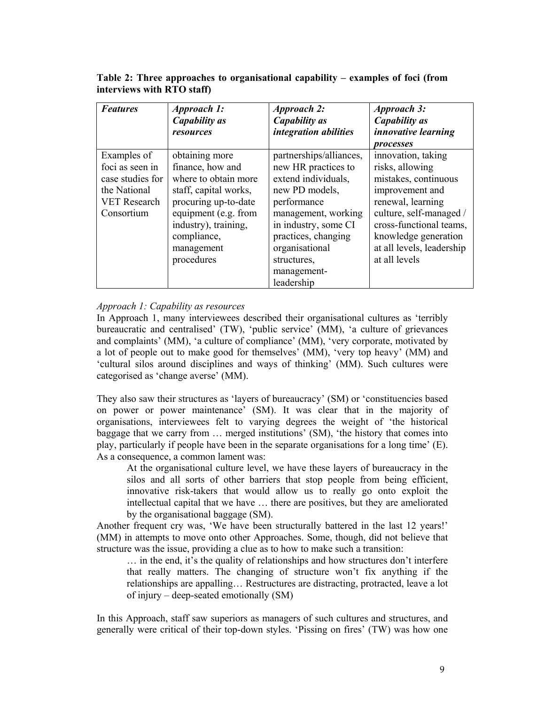**Table 2: Three approaches to organisational capability – examples of foci (from interviews with RTO staff)**

| <b>Features</b>                                                                                         | <i>Approach 1:</i><br>Capability as<br>resources                                                                                                                                                       | <b>Approach 2:</b><br>Capability as<br>integration abilities                                                                                                                                                                               | Approach 3:<br>Capability as<br><i>innovative learning</i><br>processes                                                                                                                                                           |
|---------------------------------------------------------------------------------------------------------|--------------------------------------------------------------------------------------------------------------------------------------------------------------------------------------------------------|--------------------------------------------------------------------------------------------------------------------------------------------------------------------------------------------------------------------------------------------|-----------------------------------------------------------------------------------------------------------------------------------------------------------------------------------------------------------------------------------|
| Examples of<br>foci as seen in<br>case studies for<br>the National<br><b>VET Research</b><br>Consortium | obtaining more<br>finance, how and<br>where to obtain more<br>staff, capital works,<br>procuring up-to-date<br>equipment (e.g. from<br>industry), training,<br>compliance,<br>management<br>procedures | partnerships/alliances,<br>new HR practices to<br>extend individuals,<br>new PD models,<br>performance<br>management, working<br>in industry, some CI<br>practices, changing<br>organisational<br>structures,<br>management-<br>leadership | innovation, taking<br>risks, allowing<br>mistakes, continuous<br>improvement and<br>renewal, learning<br>culture, self-managed /<br>cross-functional teams,<br>knowledge generation<br>at all levels, leadership<br>at all levels |

# *Approach 1: Capability as resources*

In Approach 1, many interviewees described their organisational cultures as 'terribly bureaucratic and centralised' (TW), 'public service' (MM), 'a culture of grievances and complaints' (MM), 'a culture of compliance' (MM), 'very corporate, motivated by a lot of people out to make good for themselves' (MM), 'very top heavy' (MM) and 'cultural silos around disciplines and ways of thinking' (MM). Such cultures were categorised as 'change averse' (MM).

They also saw their structures as 'layers of bureaucracy' (SM) or 'constituencies based on power or power maintenance' (SM). It was clear that in the majority of organisations, interviewees felt to varying degrees the weight of 'the historical baggage that we carry from … merged institutions' (SM), 'the history that comes into play, particularly if people have been in the separate organisations for a long time' (E). As a consequence, a common lament was:

At the organisational culture level, we have these layers of bureaucracy in the silos and all sorts of other barriers that stop people from being efficient, innovative risk-takers that would allow us to really go onto exploit the intellectual capital that we have … there are positives, but they are ameliorated by the organisational baggage (SM).

Another frequent cry was, 'We have been structurally battered in the last 12 years!' (MM) in attempts to move onto other Approaches. Some, though, did not believe that structure was the issue, providing a clue as to how to make such a transition:

… in the end, it's the quality of relationships and how structures don't interfere that really matters. The changing of structure won't fix anything if the relationships are appalling… Restructures are distracting, protracted, leave a lot of injury – deep-seated emotionally (SM)

In this Approach, staff saw superiors as managers of such cultures and structures, and generally were critical of their top-down styles. 'Pissing on fires' (TW) was how one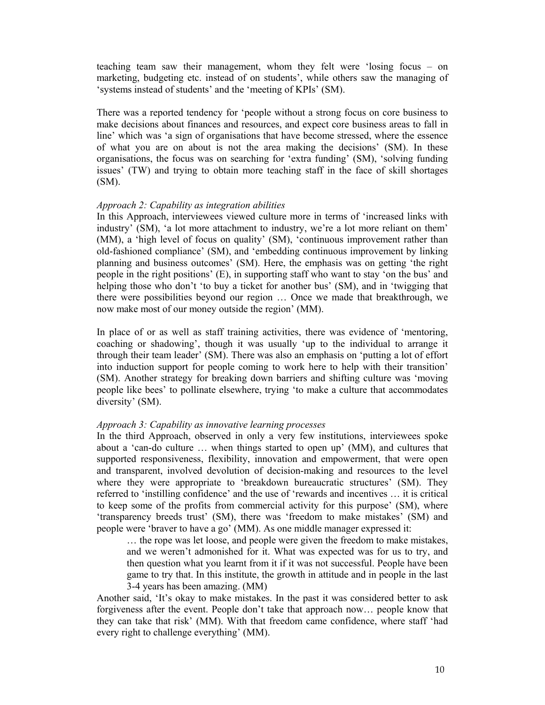teaching team saw their management, whom they felt were 'losing focus – on marketing, budgeting etc. instead of on students', while others saw the managing of 'systems instead of students' and the 'meeting of KPIs' (SM).

There was a reported tendency for 'people without a strong focus on core business to make decisions about finances and resources, and expect core business areas to fall in line' which was 'a sign of organisations that have become stressed, where the essence of what you are on about is not the area making the decisions' (SM). In these organisations, the focus was on searching for 'extra funding' (SM), 'solving funding issues' (TW) and trying to obtain more teaching staff in the face of skill shortages  $(SM)$ .

### *Approach 2: Capability as integration abilities*

In this Approach, interviewees viewed culture more in terms of 'increased links with industry' (SM), 'a lot more attachment to industry, we're a lot more reliant on them' (MM), a 'high level of focus on quality' (SM), 'continuous improvement rather than old-fashioned compliance' (SM), and 'embedding continuous improvement by linking planning and business outcomes' (SM). Here, the emphasis was on getting 'the right people in the right positions' (E), in supporting staff who want to stay 'on the bus' and helping those who don't 'to buy a ticket for another bus' (SM), and in 'twigging that there were possibilities beyond our region … Once we made that breakthrough, we now make most of our money outside the region' (MM).

In place of or as well as staff training activities, there was evidence of 'mentoring, coaching or shadowing', though it was usually 'up to the individual to arrange it through their team leader' (SM). There was also an emphasis on 'putting a lot of effort into induction support for people coming to work here to help with their transition' (SM). Another strategy for breaking down barriers and shifting culture was 'moving people like bees' to pollinate elsewhere, trying 'to make a culture that accommodates diversity' (SM).

#### *Approach 3: Capability as innovative learning processes*

In the third Approach, observed in only a very few institutions, interviewees spoke about a 'can-do culture … when things started to open up' (MM), and cultures that supported responsiveness, flexibility, innovation and empowerment, that were open and transparent, involved devolution of decision-making and resources to the level where they were appropriate to 'breakdown bureaucratic structures' (SM). They referred to 'instilling confidence' and the use of 'rewards and incentives … it is critical to keep some of the profits from commercial activity for this purpose' (SM), where 'transparency breeds trust' (SM), there was 'freedom to make mistakes' (SM) and people were 'braver to have a go' (MM). As one middle manager expressed it:

… the rope was let loose, and people were given the freedom to make mistakes, and we weren't admonished for it. What was expected was for us to try, and then question what you learnt from it if it was not successful. People have been game to try that. In this institute, the growth in attitude and in people in the last 3-4 years has been amazing. (MM)

Another said, 'It's okay to make mistakes. In the past it was considered better to ask forgiveness after the event. People don't take that approach now… people know that they can take that risk' (MM). With that freedom came confidence, where staff 'had every right to challenge everything' (MM).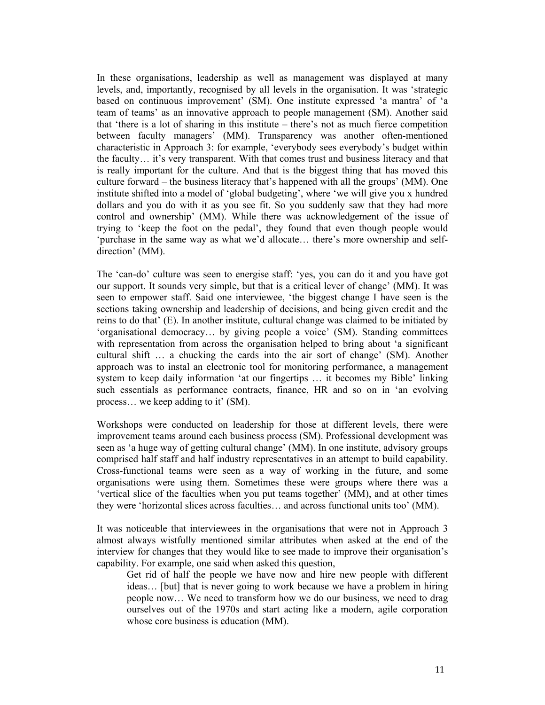In these organisations, leadership as well as management was displayed at many levels, and, importantly, recognised by all levels in the organisation. It was 'strategic based on continuous improvement' (SM). One institute expressed 'a mantra' of 'a team of teams' as an innovative approach to people management (SM). Another said that 'there is a lot of sharing in this institute – there's not as much fierce competition between faculty managers' (MM). Transparency was another often-mentioned characteristic in Approach 3: for example, 'everybody sees everybody's budget within the faculty… it's very transparent. With that comes trust and business literacy and that is really important for the culture. And that is the biggest thing that has moved this culture forward – the business literacy that's happened with all the groups' (MM). One institute shifted into a model of 'global budgeting', where 'we will give you x hundred dollars and you do with it as you see fit. So you suddenly saw that they had more control and ownership' (MM). While there was acknowledgement of the issue of trying to 'keep the foot on the pedal', they found that even though people would 'purchase in the same way as what we'd allocate… there's more ownership and selfdirection' (MM).

The 'can-do' culture was seen to energise staff: 'yes, you can do it and you have got our support. It sounds very simple, but that is a critical lever of change' (MM). It was seen to empower staff. Said one interviewee, 'the biggest change I have seen is the sections taking ownership and leadership of decisions, and being given credit and the reins to do that' (E). In another institute, cultural change was claimed to be initiated by 'organisational democracy… by giving people a voice' (SM). Standing committees with representation from across the organisation helped to bring about 'a significant cultural shift … a chucking the cards into the air sort of change' (SM). Another approach was to instal an electronic tool for monitoring performance, a management system to keep daily information 'at our fingertips … it becomes my Bible' linking such essentials as performance contracts, finance, HR and so on in 'an evolving process… we keep adding to it' (SM).

Workshops were conducted on leadership for those at different levels, there were improvement teams around each business process (SM). Professional development was seen as 'a huge way of getting cultural change' (MM). In one institute, advisory groups comprised half staff and half industry representatives in an attempt to build capability. Cross-functional teams were seen as a way of working in the future, and some organisations were using them. Sometimes these were groups where there was a 'vertical slice of the faculties when you put teams together' (MM), and at other times they were 'horizontal slices across faculties… and across functional units too' (MM).

It was noticeable that interviewees in the organisations that were not in Approach 3 almost always wistfully mentioned similar attributes when asked at the end of the interview for changes that they would like to see made to improve their organisation's capability. For example, one said when asked this question,

Get rid of half the people we have now and hire new people with different ideas… [but] that is never going to work because we have a problem in hiring people now… We need to transform how we do our business, we need to drag ourselves out of the 1970s and start acting like a modern, agile corporation whose core business is education (MM).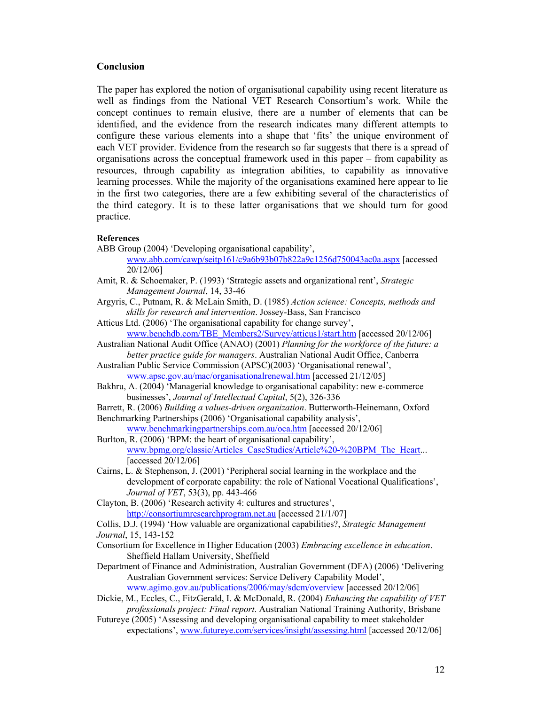### **Conclusion**

The paper has explored the notion of organisational capability using recent literature as well as findings from the National VET Research Consortium's work. While the concept continues to remain elusive, there are a number of elements that can be identified, and the evidence from the research indicates many different attempts to configure these various elements into a shape that 'fits' the unique environment of each VET provider. Evidence from the research so far suggests that there is a spread of organisations across the conceptual framework used in this paper – from capability as resources, through capability as integration abilities, to capability as innovative learning processes. While the majority of the organisations examined here appear to lie in the first two categories, there are a few exhibiting several of the characteristics of the third category. It is to these latter organisations that we should turn for good practice.

#### **References**

ABB Group (2004) 'Developing organisational capability',

www.abb.com/cawp/seitp161/c9a6b93b07b822a9c1256d750043ac0a.aspx [accessed 20/12/06]

- Amit, R. & Schoemaker, P. (1993) 'Strategic assets and organizational rent', *Strategic Management Journal*, 14, 33-46
- Argyris, C., Putnam, R. & McLain Smith, D. (1985) *Action science: Concepts, methods and skills for research and intervention*. Jossey-Bass, San Francisco

Atticus Ltd. (2006) 'The organisational capability for change survey', www.benchdb.com/TBE\_Members2/Survey/atticus1/start.htm [accessed 20/12/06]

Australian National Audit Office (ANAO) (2001) *Planning for the workforce of the future: a better practice guide for managers*. Australian National Audit Office, Canberra

Australian Public Service Commission (APSC)(2003) 'Organisational renewal', www.apsc.gov.au/mac/organisationalrenewal.htm [accessed 21/12/05]

Bakhru, A. (2004) 'Managerial knowledge to organisational capability: new e-commerce businesses', *Journal of Intellectual Capital*, 5(2), 326-336

Barrett, R. (2006) *Building a values-driven organization*. Butterworth-Heinemann, Oxford Benchmarking Partnerships (2006) 'Organisational capability analysis',

www.benchmarkingpartnerships.com.au/oca.htm [accessed 20/12/06]

Burlton, R. (2006) 'BPM: the heart of organisational capability', www.bpmg.org/classic/Articles\_CaseStudies/Article%20-%20BPM\_The\_Heart... [accessed 20/12/06]

Cairns, L. & Stephenson, J. (2001) 'Peripheral social learning in the workplace and the development of corporate capability: the role of National Vocational Qualifications', *Journal of VET*, 53(3), pp. 443-466

Clayton, B. (2006) 'Research activity 4: cultures and structures', http://consortiumresearchprogram.net.au [accessed 21/1/07]

Collis, D.J. (1994) 'How valuable are organizational capabilities?, *Strategic Management Journal*, 15, 143-152

- Consortium for Excellence in Higher Education (2003) *Embracing excellence in education*. Sheffield Hallam University, Sheffield
- Department of Finance and Administration, Australian Government (DFA) (2006) 'Delivering Australian Government services: Service Delivery Capability Model',

www.agimo.gov.au/publications/2006/may/sdcm/overview [accessed 20/12/06]

Dickie, M., Eccles, C., FitzGerald, I. & McDonald, R. (2004) *Enhancing the capability of VET professionals project: Final report*. Australian National Training Authority, Brisbane

Futureye (2005) 'Assessing and developing organisational capability to meet stakeholder expectations', www.futureye.com/services/insight/assessing.html [accessed 20/12/06]